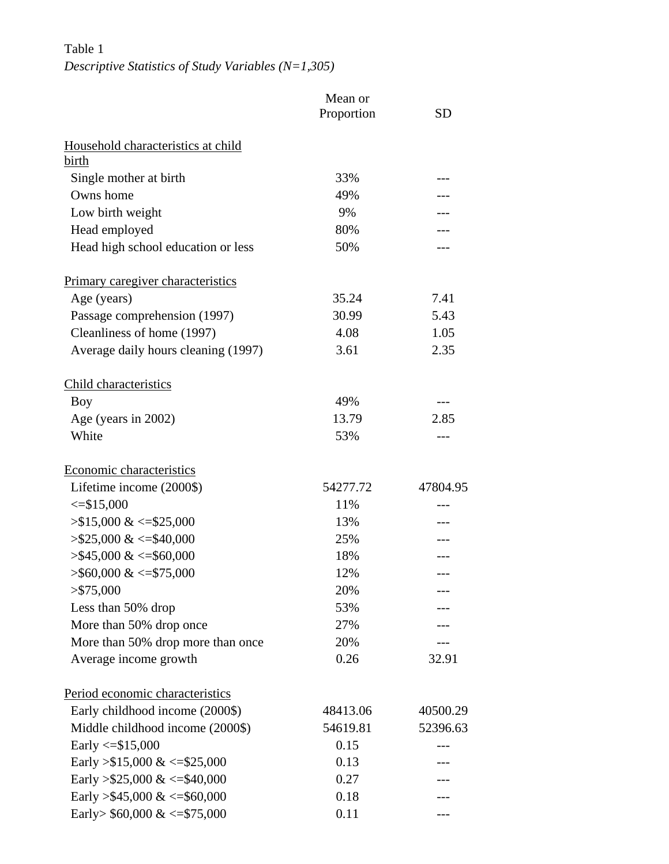Table 1 *Descriptive Statistics of Study Variables (N=1,305)* 

|                                          | Mean or<br>Proportion | <b>SD</b> |  |
|------------------------------------------|-----------------------|-----------|--|
| Household characteristics at child       |                       |           |  |
| birth                                    |                       |           |  |
| Single mother at birth                   | 33%                   |           |  |
| Owns home                                | 49%                   |           |  |
| Low birth weight                         | 9%                    |           |  |
| Head employed                            | 80%                   |           |  |
| Head high school education or less       | 50%                   |           |  |
| <b>Primary caregiver characteristics</b> |                       |           |  |
| Age (years)                              | 35.24                 | 7.41      |  |
| Passage comprehension (1997)             | 30.99                 | 5.43      |  |
| Cleanliness of home (1997)               | 4.08                  | 1.05      |  |
| Average daily hours cleaning (1997)      | 3.61                  | 2.35      |  |
| Child characteristics                    |                       |           |  |
| Boy                                      | 49%                   | $---$     |  |
| Age (years in 2002)                      | 13.79                 | 2.85      |  |
| White                                    | 53%                   | ---       |  |
| Economic characteristics                 |                       |           |  |
| Lifetime income (2000\$)                 | 54277.72              | 47804.95  |  |
| $\leq$ \$15,000                          | 11%                   |           |  |
| $> $15,000 \< = $25,000$                 | 13%                   |           |  |
| $> $25,000 \< = $40,000$                 | 25%                   |           |  |
| $> $45,000 \<= $60,000$                  | 18%                   |           |  |
| $>$ \$60,000 & <=\$75,000                | 12%                   | ---       |  |
| $>$ \$75,000                             | 20%                   |           |  |
| Less than 50% drop                       | 53%                   |           |  |
| More than 50% drop once                  | 27%                   |           |  |
| More than 50% drop more than once        | 20%                   |           |  |
| Average income growth                    | 0.26                  | 32.91     |  |
| Period economic characteristics          |                       |           |  |
| Early childhood income (2000\$)          | 48413.06              | 40500.29  |  |
| Middle childhood income (2000\$)         | 54619.81              | 52396.63  |  |
| Early $\le$ \$15,000                     | 0.15                  |           |  |
| Early > \$15,000 & <= \$25,000           | 0.13                  |           |  |
| Early > \$25,000 & <= \$40,000           | 0.27                  |           |  |
| Early > \$45,000 & <= \$60,000           | 0.18                  |           |  |
| Early> $$60,000 \<= $75,000$             | 0.11                  | ---       |  |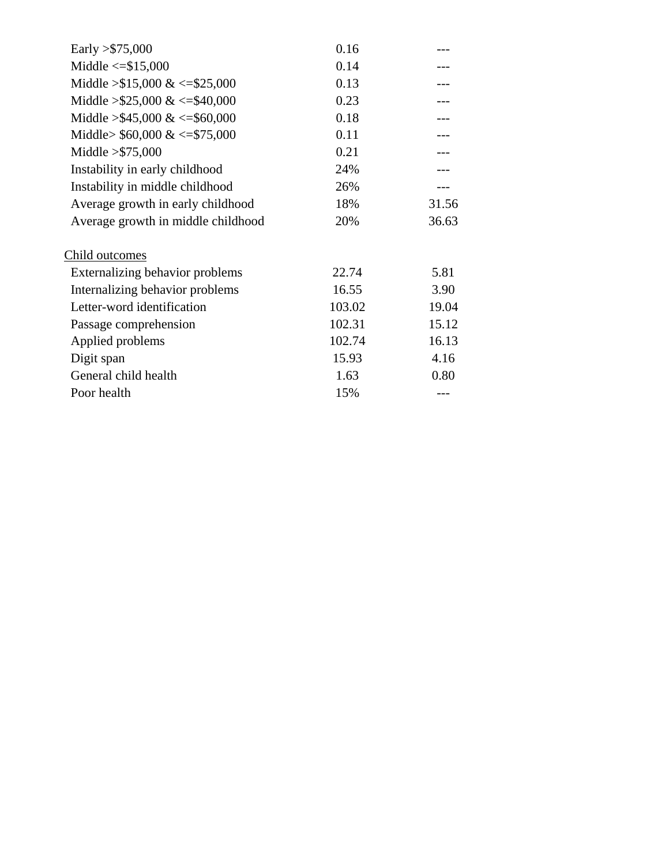| Early $> $75,000$                  | 0.16   |       |
|------------------------------------|--------|-------|
| Middle $\le$ = \$15,000            | 0.14   |       |
| Middle $> $15,000 \<= $25,000$     | 0.13   |       |
| Middle $> $25,000 \<= $40,000$     | 0.23   |       |
| Middle > \$45,000 & <= \$60,000    | 0.18   |       |
| Middle> $$60,000 \<= $75,000$      | 0.11   |       |
| Middle $> $75,000$                 | 0.21   |       |
| Instability in early childhood     | 24%    |       |
| Instability in middle childhood    | 26%    |       |
| Average growth in early childhood  | 18%    | 31.56 |
| Average growth in middle childhood | 20%    | 36.63 |
| Child outcomes                     |        |       |
| Externalizing behavior problems    | 22.74  | 5.81  |
| Internalizing behavior problems    | 16.55  | 3.90  |
| Letter-word identification         | 103.02 | 19.04 |
| Passage comprehension              | 102.31 | 15.12 |
| Applied problems                   | 102.74 | 16.13 |
| Digit span                         | 15.93  | 4.16  |
| General child health               | 1.63   | 0.80  |
| Poor health                        | 15%    |       |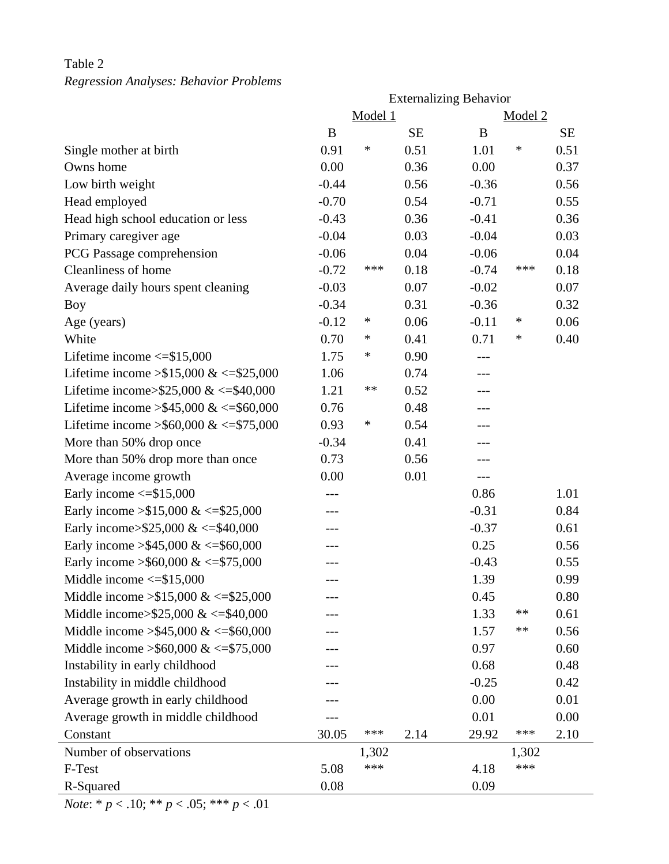## Table 2 *Regression Analyses: Behavior Problems*

|                                          | <b>Externalizing Behavior</b> |       |           |         |        |           |  |  |
|------------------------------------------|-------------------------------|-------|-----------|---------|--------|-----------|--|--|
|                                          | Model 1<br>Model 2            |       |           |         |        |           |  |  |
|                                          | B                             |       | <b>SE</b> | B       |        | <b>SE</b> |  |  |
| Single mother at birth                   | 0.91                          | ∗     | 0.51      | 1.01    | $\ast$ | 0.51      |  |  |
| Owns home                                | 0.00                          |       | 0.36      | 0.00    |        | 0.37      |  |  |
| Low birth weight                         | $-0.44$                       |       | 0.56      | $-0.36$ |        | 0.56      |  |  |
| Head employed                            | $-0.70$                       |       | 0.54      | $-0.71$ |        | 0.55      |  |  |
| Head high school education or less       | $-0.43$                       |       | 0.36      | $-0.41$ |        | 0.36      |  |  |
| Primary caregiver age                    | $-0.04$                       |       | 0.03      | $-0.04$ |        | 0.03      |  |  |
| PCG Passage comprehension                | $-0.06$                       |       | 0.04      | $-0.06$ |        | 0.04      |  |  |
| Cleanliness of home                      | $-0.72$                       | ***   | 0.18      | $-0.74$ | ***    | 0.18      |  |  |
| Average daily hours spent cleaning       | $-0.03$                       |       | 0.07      | $-0.02$ |        | 0.07      |  |  |
| <b>Boy</b>                               | $-0.34$                       |       | 0.31      | $-0.36$ |        | 0.32      |  |  |
| Age (years)                              | $-0.12$                       | ∗     | 0.06      | $-0.11$ | ∗      | 0.06      |  |  |
| White                                    | 0.70                          | ∗     | 0.41      | 0.71    | ∗      | 0.40      |  |  |
| Lifetime income $\le$ \$15,000           | 1.75                          | ∗     | 0.90      |         |        |           |  |  |
| Lifetime income $> $15,000 \<= $25,000$  | 1.06                          |       | 0.74      |         |        |           |  |  |
| Lifetime income>\$25,000 & <= \$40,000   | 1.21                          | **    | 0.52      | ---     |        |           |  |  |
| Lifetime income > \$45,000 & <= \$60,000 | 0.76                          |       | 0.48      | ---     |        |           |  |  |
| Lifetime income > \$60,000 & <= \$75,000 | 0.93                          | ∗     | 0.54      |         |        |           |  |  |
| More than 50% drop once                  | $-0.34$                       |       | 0.41      | ---     |        |           |  |  |
| More than 50% drop more than once        | 0.73                          |       | 0.56      | ---     |        |           |  |  |
| Average income growth                    | 0.00                          |       | 0.01      | $---$   |        |           |  |  |
| Early income $\le$ \$15,000              |                               |       |           | 0.86    |        | 1.01      |  |  |
| Early income $> $15,000 \<= $25,000$     | ---                           |       |           | $-0.31$ |        | 0.84      |  |  |
| Early income>\$25,000 & <=\$40,000       |                               |       |           | $-0.37$ |        | 0.61      |  |  |
| Early income > \$45,000 & <= \$60,000    |                               |       |           | 0.25    |        | 0.56      |  |  |
| Early income > \$60,000 & <= \$75,000    |                               |       |           | $-0.43$ |        | 0.55      |  |  |
| Middle income $\le$ =\$15,000            |                               |       |           | 1.39    |        | 0.99      |  |  |
| Middle income $> $15,000 \<= $25,000$    |                               |       |           | 0.45    |        | 0.80      |  |  |
| Middle income> $$25,000 \<= $40,000$     |                               |       |           | 1.33    | **     | 0.61      |  |  |
| Middle income $> $45,000 \<= $60,000$    |                               |       |           | 1.57    | **     | 0.56      |  |  |
| Middle income $>$ \$60,000 & <=\$75,000  |                               |       |           | 0.97    |        | 0.60      |  |  |
| Instability in early childhood           |                               |       |           | 0.68    |        | 0.48      |  |  |
| Instability in middle childhood          |                               |       |           | $-0.25$ |        | 0.42      |  |  |
| Average growth in early childhood        |                               |       |           | 0.00    |        | 0.01      |  |  |
| Average growth in middle childhood       |                               |       |           | 0.01    |        | 0.00      |  |  |
| Constant                                 | 30.05                         | ***   | 2.14      | 29.92   | ***    | 2.10      |  |  |
| Number of observations                   |                               | 1,302 |           |         | 1,302  |           |  |  |
| F-Test                                   | 5.08                          | ***   |           | 4.18    | ***    |           |  |  |
| R-Squared                                | 0.08                          |       |           | 0.09    |        |           |  |  |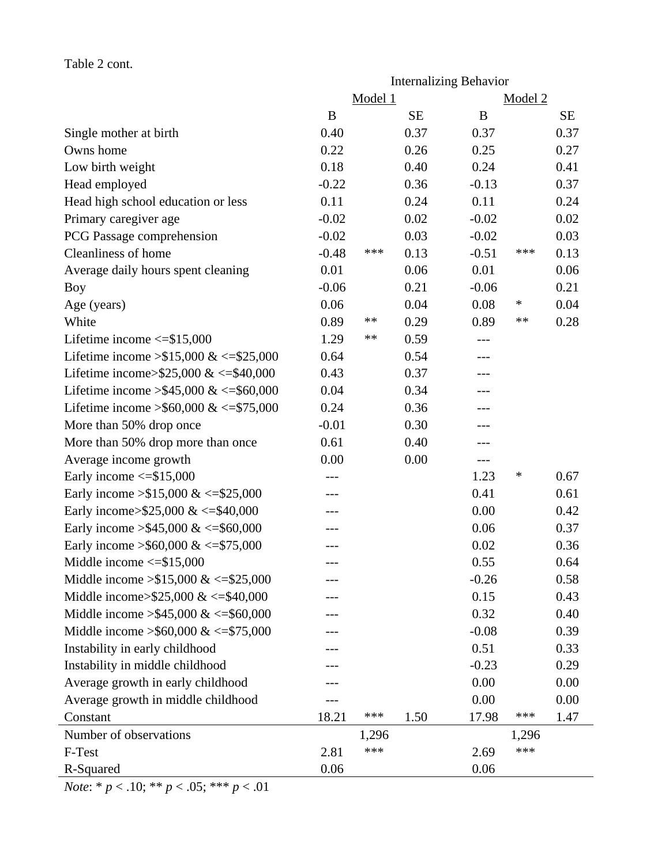|                                            |          |         |           | <b>Internalizing Behavior</b> |                    |           |
|--------------------------------------------|----------|---------|-----------|-------------------------------|--------------------|-----------|
|                                            |          | Model 1 |           |                               | Model <sub>2</sub> |           |
|                                            | $\bf{B}$ |         | <b>SE</b> | B                             |                    | <b>SE</b> |
| Single mother at birth                     | 0.40     |         | 0.37      | 0.37                          |                    | 0.37      |
| Owns home                                  | 0.22     |         | 0.26      | 0.25                          |                    | 0.27      |
| Low birth weight                           | 0.18     |         | 0.40      | 0.24                          |                    | 0.41      |
| Head employed                              | $-0.22$  |         | 0.36      | $-0.13$                       |                    | 0.37      |
| Head high school education or less         | 0.11     |         | 0.24      | 0.11                          |                    | 0.24      |
| Primary caregiver age                      | $-0.02$  |         | 0.02      | $-0.02$                       |                    | 0.02      |
| PCG Passage comprehension                  | $-0.02$  |         | 0.03      | $-0.02$                       |                    | 0.03      |
| <b>Cleanliness of home</b>                 | $-0.48$  | ***     | 0.13      | $-0.51$                       | ***                | 0.13      |
| Average daily hours spent cleaning         | 0.01     |         | 0.06      | 0.01                          |                    | 0.06      |
| Boy                                        | $-0.06$  |         | 0.21      | $-0.06$                       |                    | 0.21      |
| Age (years)                                | 0.06     |         | 0.04      | 0.08                          | ∗                  | 0.04      |
| White                                      | 0.89     | **      | 0.29      | 0.89                          | **                 | 0.28      |
| Lifetime income $\le$ \$15,000             | 1.29     | **      | 0.59      | ---                           |                    |           |
| Lifetime income $> $15,000 \<= $25,000$    | 0.64     |         | 0.54      |                               |                    |           |
| Lifetime income>\$25,000 & <= \$40,000     | 0.43     |         | 0.37      | ---                           |                    |           |
| Lifetime income > \$45,000 & <= \$60,000   | 0.04     |         | 0.34      | $---$                         |                    |           |
| Lifetime income > \$60,000 & <= \$75,000   | 0.24     |         | 0.36      | ---                           |                    |           |
| More than 50% drop once                    | $-0.01$  |         | 0.30      | ---                           |                    |           |
| More than 50% drop more than once          | 0.61     |         | 0.40      |                               |                    |           |
| Average income growth                      | 0.00     |         | 0.00      | $---$                         |                    |           |
| Early income $\le$ \$15,000                |          |         |           | 1.23                          | ∗                  | 0.67      |
| Early income $> $15,000 \<= $25,000$       |          |         |           | 0.41                          |                    | 0.61      |
| Early income>\$25,000 & <=\$40,000         | ---      |         |           | 0.00                          |                    | 0.42      |
| Early income > \$45,000 & <= \$60,000      |          |         |           | 0.06                          |                    | 0.37      |
| Early income > \$60,000 & <= \$75,000      |          |         |           | 0.02                          |                    | 0.36      |
| Middle income $\le$ =\$15.000              | $---$    |         |           | 0.55                          |                    | 0.64      |
| Middle income $> $15,000 \<= $25,000$      |          |         |           | $-0.26$                       |                    | 0.58      |
| Middle income> $$25,000 \<= $40,000$       |          |         |           | 0.15                          |                    | 0.43      |
| Middle income $> $45,000 \<= $60,000$      |          |         |           | 0.32                          |                    | 0.40      |
| Middle income $\geq$ \$60,000 & <=\$75,000 |          |         |           | $-0.08$                       |                    | 0.39      |
| Instability in early childhood             |          |         |           | 0.51                          |                    | 0.33      |
| Instability in middle childhood            |          |         |           | $-0.23$                       |                    | 0.29      |
| Average growth in early childhood          |          |         |           | 0.00                          |                    | 0.00      |
| Average growth in middle childhood         |          |         |           | 0.00                          |                    | 0.00      |
| Constant                                   | 18.21    | ***     | 1.50      | 17.98                         | ***                | 1.47      |
| Number of observations                     |          | 1,296   |           |                               | 1,296              |           |
| F-Test                                     | 2.81     | ***     |           | 2.69                          | ***                |           |
| R-Squared                                  | 0.06     |         |           | 0.06                          |                    |           |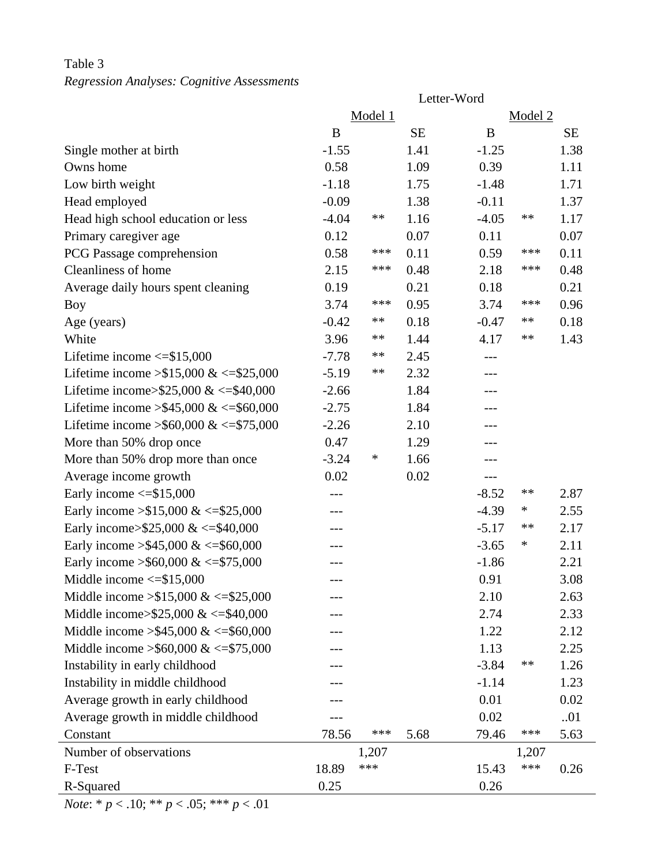## Table 3 *Regression Analyses: Cognitive Assessments*

|                                            | Letter-Word |         |           |         |         |           |  |  |
|--------------------------------------------|-------------|---------|-----------|---------|---------|-----------|--|--|
|                                            |             | Model 1 |           |         | Model 2 |           |  |  |
|                                            | B           |         | <b>SE</b> | B       |         | <b>SE</b> |  |  |
| Single mother at birth                     | $-1.55$     |         | 1.41      | $-1.25$ |         | 1.38      |  |  |
| Owns home                                  | 0.58        |         | 1.09      | 0.39    |         | 1.11      |  |  |
| Low birth weight                           | $-1.18$     |         | 1.75      | $-1.48$ |         | 1.71      |  |  |
| Head employed                              | $-0.09$     |         | 1.38      | $-0.11$ |         | 1.37      |  |  |
| Head high school education or less         | $-4.04$     | **      | 1.16      | $-4.05$ | **      | 1.17      |  |  |
| Primary caregiver age                      | 0.12        |         | 0.07      | 0.11    |         | 0.07      |  |  |
| PCG Passage comprehension                  | 0.58        | ***     | 0.11      | 0.59    | ***     | 0.11      |  |  |
| Cleanliness of home                        | 2.15        | ***     | 0.48      | 2.18    | ***     | 0.48      |  |  |
| Average daily hours spent cleaning         | 0.19        |         | 0.21      | 0.18    |         | 0.21      |  |  |
| <b>Boy</b>                                 | 3.74        | ***     | 0.95      | 3.74    | ***     | 0.96      |  |  |
| Age (years)                                | $-0.42$     | **      | 0.18      | $-0.47$ | **      | 0.18      |  |  |
| White                                      | 3.96        | **      | 1.44      | 4.17    | **      | 1.43      |  |  |
| Lifetime income $\le$ \$15,000             | $-7.78$     | **      | 2.45      |         |         |           |  |  |
| Lifetime income $> $15,000 \<= $25,000$    | $-5.19$     | **      | 2.32      | $---$   |         |           |  |  |
| Lifetime income> $$25,000 \<= $40,000$     | $-2.66$     |         | 1.84      | ---     |         |           |  |  |
| Lifetime income > \$45,000 & <= \$60,000   | $-2.75$     |         | 1.84      | ---     |         |           |  |  |
| Lifetime income > \$60,000 & <= \$75,000   | $-2.26$     |         | 2.10      |         |         |           |  |  |
| More than 50% drop once                    | 0.47        |         | 1.29      | $---$   |         |           |  |  |
| More than 50% drop more than once          | $-3.24$     | ∗       | 1.66      | ---     |         |           |  |  |
| Average income growth                      | 0.02        |         | 0.02      | $---$   |         |           |  |  |
| Early income $\le$ \$15,000                | $---$       |         |           | $-8.52$ | **      | 2.87      |  |  |
| Early income $> $15,000 \<= $25,000$       | $---$       |         |           | $-4.39$ | ∗       | 2.55      |  |  |
| Early income>\$25,000 & <=\$40,000         | ---         |         |           | $-5.17$ | **      | 2.17      |  |  |
| Early income > \$45,000 & <= \$60,000      | ---         |         |           | $-3.65$ | ∗       | 2.11      |  |  |
| Early income > \$60,000 & <= \$75,000      | $---$       |         |           | $-1.86$ |         | 2.21      |  |  |
| Middle income $\le$ =\$15,000              |             |         |           | 0.91    |         | 3.08      |  |  |
| Middle income $> $15,000 \<= $25,000$      |             |         |           | 2.10    |         | 2.63      |  |  |
| Middle income> $$25,000 \<= $40,000$       |             |         |           | 2.74    |         | 2.33      |  |  |
| Middle income $> $45,000 \<= $60,000$      |             |         |           | 1.22    |         | 2.12      |  |  |
| Middle income $\geq$ \$60,000 & <=\$75,000 |             |         |           | 1.13    |         | 2.25      |  |  |
| Instability in early childhood             |             |         |           | $-3.84$ | **      | 1.26      |  |  |
| Instability in middle childhood            |             |         |           | $-1.14$ |         | 1.23      |  |  |
| Average growth in early childhood          |             |         |           | 0.01    |         | 0.02      |  |  |
| Average growth in middle childhood         |             |         |           | 0.02    |         | 01        |  |  |
| Constant                                   | 78.56       | ***     | 5.68      | 79.46   | ***     | 5.63      |  |  |
| Number of observations                     |             | 1,207   |           |         | 1,207   |           |  |  |
| F-Test                                     | 18.89       | ***     |           | 15.43   | ***     | 0.26      |  |  |
| R-Squared                                  | 0.25        |         |           | 0.26    |         |           |  |  |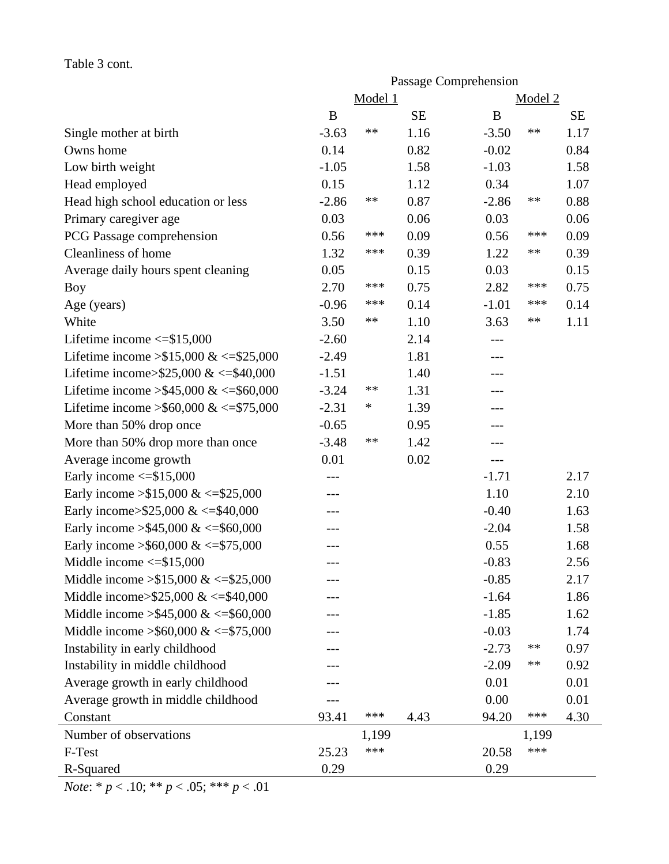### Table 3 cont.

|                                            | Passage Comprehension |         |           |                |           |  |
|--------------------------------------------|-----------------------|---------|-----------|----------------|-----------|--|
|                                            |                       | Model 1 |           | Model 2        |           |  |
|                                            | $\bf{B}$              |         | <b>SE</b> | B              | <b>SE</b> |  |
| Single mother at birth                     | $-3.63$               | $***$   | 1.16      | $-3.50$<br>**  | 1.17      |  |
| Owns home                                  | 0.14                  |         | 0.82      | $-0.02$        | 0.84      |  |
| Low birth weight                           | $-1.05$               |         | 1.58      | $-1.03$        | 1.58      |  |
| Head employed                              | 0.15                  |         | 1.12      | 0.34           | 1.07      |  |
| Head high school education or less         | $-2.86$               | **      | 0.87      | $-2.86$<br>**  | 0.88      |  |
| Primary caregiver age                      | 0.03                  |         | 0.06      | 0.03           | 0.06      |  |
| PCG Passage comprehension                  | 0.56                  | ***     | 0.09      | ***<br>0.56    | 0.09      |  |
| Cleanliness of home                        | 1.32                  | ***     | 0.39      | 1.22<br>**     | 0.39      |  |
| Average daily hours spent cleaning         | 0.05                  |         | 0.15      | 0.03           | 0.15      |  |
| Boy                                        | 2.70                  | ***     | 0.75      | ***<br>2.82    | 0.75      |  |
| Age (years)                                | $-0.96$               | ***     | 0.14      | ***<br>$-1.01$ | 0.14      |  |
| White                                      | 3.50                  | $***$   | 1.10      | 3.63<br>**     | 1.11      |  |
| Lifetime income $\le$ =\$15,000            | $-2.60$               |         | 2.14      | $---$          |           |  |
| Lifetime income $> $15,000 \<= $25,000$    | $-2.49$               |         | 1.81      |                |           |  |
| Lifetime income>\$25,000 & <= \$40,000     | $-1.51$               |         | 1.40      | $---$          |           |  |
| Lifetime income > \$45,000 & <= \$60,000   | $-3.24$               | **      | 1.31      |                |           |  |
| Lifetime income > \$60,000 & <= \$75,000   | $-2.31$               | ∗       | 1.39      | ---            |           |  |
| More than 50% drop once                    | $-0.65$               |         | 0.95      | ---            |           |  |
| More than 50% drop more than once          | $-3.48$               | $**$    | 1.42      |                |           |  |
| Average income growth                      | 0.01                  |         | 0.02      | ---            |           |  |
| Early income $\le$ \$15,000                |                       |         |           | $-1.71$        | 2.17      |  |
| Early income $> $15,000 \<= $25,000$       |                       |         |           | 1.10           | 2.10      |  |
| Early income>\$25,000 & <=\$40,000         |                       |         |           | $-0.40$        | 1.63      |  |
| Early income > \$45,000 & <= \$60,000      |                       |         |           | $-2.04$        | 1.58      |  |
| Early income > \$60,000 & <= \$75,000      | ---                   |         |           | 0.55           | 1.68      |  |
| Middle income $\le$ = \$15,000             |                       |         |           | $-0.83$        | 2.56      |  |
| Middle income $> $15,000 \<= $25,000$      |                       |         |           | $-0.85$        | 2.17      |  |
| Middle income> $$25,000 \<= $40,000$       |                       |         |           | $-1.64$        | 1.86      |  |
| Middle income $> $45,000 \<= $60,000$      |                       |         |           | $-1.85$        | 1.62      |  |
| Middle income $\geq$ \$60,000 & <=\$75,000 |                       |         |           | $-0.03$        | 1.74      |  |
| Instability in early childhood             |                       |         |           | $-2.73$<br>**  | 0.97      |  |
| Instability in middle childhood            |                       |         |           | $-2.09$<br>**  | 0.92      |  |
| Average growth in early childhood          |                       |         |           | 0.01           | 0.01      |  |
| Average growth in middle childhood         |                       |         |           | 0.00           | 0.01      |  |
| Constant                                   | 93.41                 | ***     | 4.43      | ***<br>94.20   | 4.30      |  |
| Number of observations                     |                       | 1,199   |           | 1,199          |           |  |
| F-Test                                     | 25.23                 | ***     |           | ***<br>20.58   |           |  |
| R-Squared                                  | 0.29                  |         |           | 0.29           |           |  |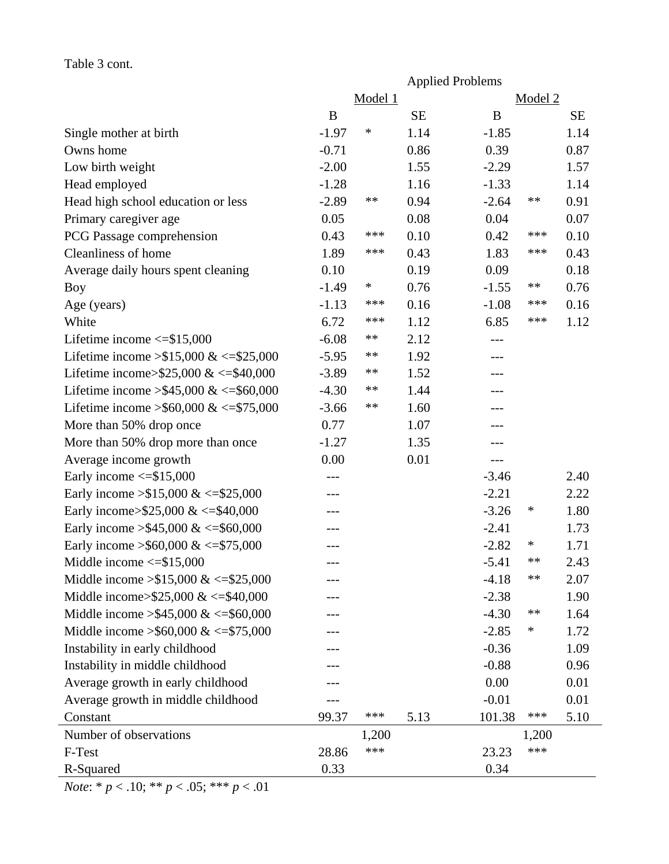### Table 3 cont.

|                                            |         |         | <b>Applied Problems</b> |         |         |           |
|--------------------------------------------|---------|---------|-------------------------|---------|---------|-----------|
|                                            |         | Model 1 |                         |         | Model 2 |           |
|                                            | B       |         | <b>SE</b>               | B       |         | <b>SE</b> |
| Single mother at birth                     | $-1.97$ | ∗       | 1.14                    | $-1.85$ |         | 1.14      |
| Owns home                                  | $-0.71$ |         | 0.86                    | 0.39    |         | 0.87      |
| Low birth weight                           | $-2.00$ |         | 1.55                    | $-2.29$ |         | 1.57      |
| Head employed                              | $-1.28$ |         | 1.16                    | $-1.33$ |         | 1.14      |
| Head high school education or less         | $-2.89$ | $***$   | 0.94                    | $-2.64$ | **      | 0.91      |
| Primary caregiver age                      | 0.05    |         | 0.08                    | 0.04    |         | 0.07      |
| PCG Passage comprehension                  | 0.43    | ***     | 0.10                    | 0.42    | ***     | 0.10      |
| Cleanliness of home                        | 1.89    | ***     | 0.43                    | 1.83    | ***     | 0.43      |
| Average daily hours spent cleaning         | 0.10    |         | 0.19                    | 0.09    |         | 0.18      |
| <b>Boy</b>                                 | $-1.49$ | $\ast$  | 0.76                    | $-1.55$ | $***$   | 0.76      |
| Age (years)                                | $-1.13$ | ***     | 0.16                    | $-1.08$ | ***     | 0.16      |
| White                                      | 6.72    | ***     | 1.12                    | 6.85    | ***     | 1.12      |
| Lifetime income $\le$ =\$15,000            | $-6.08$ | **      | 2.12                    |         |         |           |
| Lifetime income > \$15,000 & <= \$25,000   | $-5.95$ | **      | 1.92                    |         |         |           |
| Lifetime income>\$25,000 & <= \$40,000     | $-3.89$ | **      | 1.52                    | $---$   |         |           |
| Lifetime income > \$45,000 & <= \$60,000   | $-4.30$ | **      | 1.44                    | ---     |         |           |
| Lifetime income > \$60,000 & <= \$75,000   | $-3.66$ | **      | 1.60                    |         |         |           |
| More than 50% drop once                    | 0.77    |         | 1.07                    |         |         |           |
| More than 50% drop more than once          | $-1.27$ |         | 1.35                    | ---     |         |           |
| Average income growth                      | 0.00    |         | 0.01                    | $---$   |         |           |
| Early income $\le$ = \$15,000              |         |         |                         | $-3.46$ |         | 2.40      |
| Early income $> $15,000 \<= $25,000$       | ---     |         |                         | $-2.21$ |         | 2.22      |
| Early income>\$25,000 & <=\$40,000         | ---     |         |                         | $-3.26$ | ∗       | 1.80      |
| Early income > \$45,000 & <= \$60,000      | ---     |         |                         | $-2.41$ |         | 1.73      |
| Early income > \$60,000 & <= \$75,000      | ---     |         |                         | $-2.82$ | $\ast$  | 1.71      |
| Middle income $\le$ \$15,000               |         |         |                         | $-5.41$ | **      | 2.43      |
| Middle income $> $15,000 \<= $25,000$      |         |         |                         | $-4.18$ | **      | 2.07      |
| Middle income>\$25,000 & <= \$40,000       |         |         |                         | $-2.38$ |         | 1.90      |
| Middle income $> $45,000 \<= $60,000$      |         |         |                         | $-4.30$ | **      | 1.64      |
| Middle income $\geq$ \$60,000 & <=\$75,000 |         |         |                         | $-2.85$ | ∗       | 1.72      |
| Instability in early childhood             |         |         |                         | $-0.36$ |         | 1.09      |
| Instability in middle childhood            |         |         |                         | $-0.88$ |         | 0.96      |
| Average growth in early childhood          |         |         |                         | 0.00    |         | 0.01      |
| Average growth in middle childhood         |         |         |                         | $-0.01$ |         | 0.01      |
| Constant                                   | 99.37   | ***     | 5.13                    | 101.38  | ***     | 5.10      |
| Number of observations                     |         | 1,200   |                         |         | 1,200   |           |
| F-Test                                     | 28.86   | ***     |                         | 23.23   | ***     |           |
| R-Squared                                  | 0.33    |         |                         | 0.34    |         |           |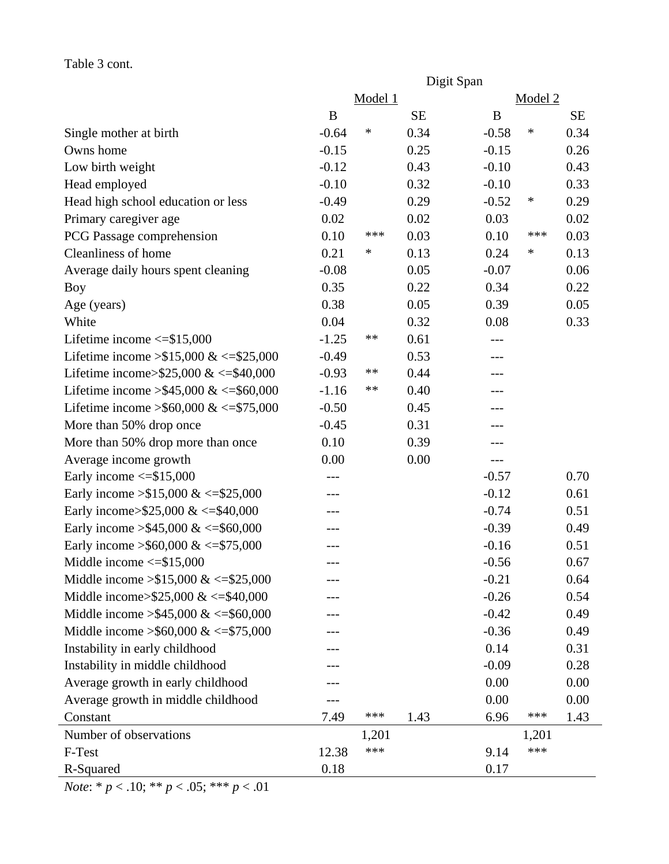### Table 3 cont.

|                                            | Digit Span |         |           |         |         |           |  |
|--------------------------------------------|------------|---------|-----------|---------|---------|-----------|--|
|                                            |            | Model 1 |           |         | Model 2 |           |  |
|                                            | B          |         | <b>SE</b> | B       |         | <b>SE</b> |  |
| Single mother at birth                     | $-0.64$    | ∗       | 0.34      | $-0.58$ | $\ast$  | 0.34      |  |
| Owns home                                  | $-0.15$    |         | 0.25      | $-0.15$ |         | 0.26      |  |
| Low birth weight                           | $-0.12$    |         | 0.43      | $-0.10$ |         | 0.43      |  |
| Head employed                              | $-0.10$    |         | 0.32      | $-0.10$ |         | 0.33      |  |
| Head high school education or less         | $-0.49$    |         | 0.29      | $-0.52$ | $\ast$  | 0.29      |  |
| Primary caregiver age                      | 0.02       |         | 0.02      | 0.03    |         | 0.02      |  |
| PCG Passage comprehension                  | 0.10       | ***     | 0.03      | 0.10    | ***     | 0.03      |  |
| Cleanliness of home                        | 0.21       | ∗       | 0.13      | 0.24    | $\ast$  | 0.13      |  |
| Average daily hours spent cleaning         | $-0.08$    |         | 0.05      | $-0.07$ |         | 0.06      |  |
| <b>Boy</b>                                 | 0.35       |         | 0.22      | 0.34    |         | 0.22      |  |
| Age (years)                                | 0.38       |         | 0.05      | 0.39    |         | 0.05      |  |
| White                                      | 0.04       |         | 0.32      | 0.08    |         | 0.33      |  |
| Lifetime income $\le$ \$15,000             | $-1.25$    | $***$   | 0.61      |         |         |           |  |
| Lifetime income $> $15,000 \<= $25,000$    | $-0.49$    |         | 0.53      |         |         |           |  |
| Lifetime income>\$25,000 & <= \$40,000     | $-0.93$    | $***$   | 0.44      | ---     |         |           |  |
| Lifetime income > \$45,000 & <= \$60,000   | $-1.16$    | $***$   | 0.40      | ---     |         |           |  |
| Lifetime income > \$60,000 & <= \$75,000   | $-0.50$    |         | 0.45      |         |         |           |  |
| More than 50% drop once                    | $-0.45$    |         | 0.31      |         |         |           |  |
| More than 50% drop more than once          | 0.10       |         | 0.39      | ---     |         |           |  |
| Average income growth                      | 0.00       |         | 0.00      | $---$   |         |           |  |
| Early income $\le$ \$15,000                |            |         |           | $-0.57$ |         | 0.70      |  |
| Early income $> $15,000 \<= $25,000$       | ---        |         |           | $-0.12$ |         | 0.61      |  |
| Early income>\$25,000 & <=\$40,000         | ---        |         |           | $-0.74$ |         | 0.51      |  |
| Early income > \$45,000 & <= \$60,000      |            |         |           | $-0.39$ |         | 0.49      |  |
| Early income > \$60,000 & <= \$75,000      |            |         |           | $-0.16$ |         | 0.51      |  |
| Middle income $\le$ \$15,000               |            |         |           | $-0.56$ |         | 0.67      |  |
| Middle income $> $15,000 \<= $25,000$      |            |         |           | $-0.21$ |         | 0.64      |  |
| Middle income> $$25,000 \<= $40,000$       |            |         |           | $-0.26$ |         | 0.54      |  |
| Middle income $> $45,000 \<= $60,000$      |            |         |           | $-0.42$ |         | 0.49      |  |
| Middle income $\geq$ \$60,000 & <=\$75,000 |            |         |           | $-0.36$ |         | 0.49      |  |
| Instability in early childhood             |            |         |           | 0.14    |         | 0.31      |  |
| Instability in middle childhood            |            |         |           | $-0.09$ |         | 0.28      |  |
| Average growth in early childhood          |            |         |           | 0.00    |         | 0.00      |  |
| Average growth in middle childhood         |            |         |           | 0.00    |         | 0.00      |  |
| Constant                                   | 7.49       | ***     | 1.43      | 6.96    | ***     | 1.43      |  |
| Number of observations                     |            | 1,201   |           |         | 1,201   |           |  |
| F-Test                                     | 12.38      | ***     |           | 9.14    | ***     |           |  |
| R-Squared                                  | 0.18       |         |           | 0.17    |         |           |  |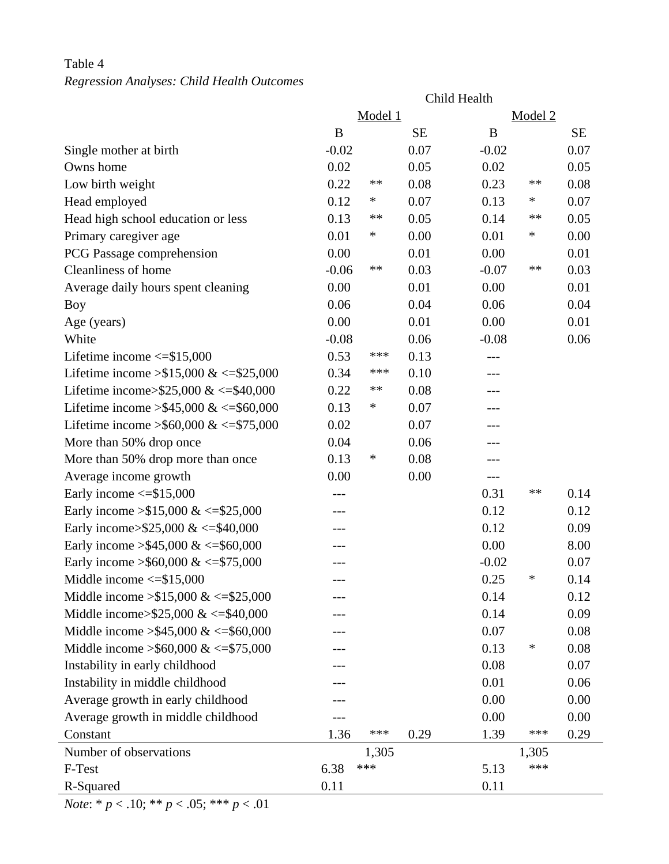## Table 4 *Regression Analyses: Child Health Outcomes*

|                                            | Child Health |         |           |         |         |           |  |
|--------------------------------------------|--------------|---------|-----------|---------|---------|-----------|--|
|                                            |              | Model 1 |           |         | Model 2 |           |  |
|                                            | B            |         | <b>SE</b> | B       |         | <b>SE</b> |  |
| Single mother at birth                     | $-0.02$      |         | 0.07      | $-0.02$ |         | 0.07      |  |
| Owns home                                  | 0.02         |         | 0.05      | 0.02    |         | 0.05      |  |
| Low birth weight                           | 0.22         | **      | 0.08      | 0.23    | **      | 0.08      |  |
| Head employed                              | 0.12         | $\ast$  | 0.07      | 0.13    | ∗       | 0.07      |  |
| Head high school education or less         | 0.13         | **      | 0.05      | 0.14    | **      | 0.05      |  |
| Primary caregiver age                      | 0.01         | $\ast$  | 0.00      | 0.01    | ∗       | 0.00      |  |
| PCG Passage comprehension                  | 0.00         |         | 0.01      | 0.00    |         | 0.01      |  |
| Cleanliness of home                        | $-0.06$      | **      | 0.03      | $-0.07$ | $***$   | 0.03      |  |
| Average daily hours spent cleaning         | 0.00         |         | 0.01      | 0.00    |         | 0.01      |  |
| <b>Boy</b>                                 | 0.06         |         | 0.04      | 0.06    |         | 0.04      |  |
| Age (years)                                | 0.00         |         | 0.01      | 0.00    |         | 0.01      |  |
| White                                      | $-0.08$      |         | 0.06      | $-0.08$ |         | 0.06      |  |
| Lifetime income $\le$ \$15,000             | 0.53         | ***     | 0.13      |         |         |           |  |
| Lifetime income $> $15,000 \<= $25,000$    | 0.34         | ***     | 0.10      |         |         |           |  |
| Lifetime income>\$25,000 & <= \$40,000     | 0.22         | **      | 0.08      | $---$   |         |           |  |
| Lifetime income > \$45,000 & <= \$60,000   | 0.13         | ∗       | 0.07      | ---     |         |           |  |
| Lifetime income > \$60,000 & <= \$75,000   | 0.02         |         | 0.07      |         |         |           |  |
| More than 50% drop once                    | 0.04         |         | 0.06      |         |         |           |  |
| More than 50% drop more than once          | 0.13         | ∗       | 0.08      |         |         |           |  |
| Average income growth                      | 0.00         |         | 0.00      | $---$   |         |           |  |
| Early income $\le$ \$15,000                |              |         |           | 0.31    | **      | 0.14      |  |
| Early income $>15,000 \<=15,000$           | ---          |         |           | 0.12    |         | 0.12      |  |
| Early income>\$25,000 & <=\$40,000         |              |         |           | 0.12    |         | 0.09      |  |
| Early income > \$45,000 & <= \$60,000      |              |         |           | 0.00    |         | 8.00      |  |
| Early income > \$60,000 & <= \$75,000      |              |         |           | $-0.02$ |         | 0.07      |  |
| Middle income $\le$ \$15,000               |              |         |           | 0.25    | *       | 0.14      |  |
| Middle income $> $15,000 \<= $25,000$      |              |         |           | 0.14    |         | 0.12      |  |
| Middle income> $$25,000 \<= $40,000$       |              |         |           | 0.14    |         | 0.09      |  |
| Middle income $> $45,000 \<= $60,000$      |              |         |           | 0.07    |         | 0.08      |  |
| Middle income $\geq$ \$60,000 & <=\$75,000 |              |         |           | 0.13    | ∗       | 0.08      |  |
| Instability in early childhood             |              |         |           | 0.08    |         | 0.07      |  |
| Instability in middle childhood            |              |         |           | 0.01    |         | 0.06      |  |
| Average growth in early childhood          |              |         |           | 0.00    |         | 0.00      |  |
| Average growth in middle childhood         |              |         |           | 0.00    |         | 0.00      |  |
| Constant                                   | 1.36         | ***     | 0.29      | 1.39    | ***     | 0.29      |  |
| Number of observations                     |              | 1,305   |           |         | 1,305   |           |  |
| F-Test                                     | 6.38         | ***     |           | 5.13    | ***     |           |  |
| R-Squared                                  | 0.11         |         |           | 0.11    |         |           |  |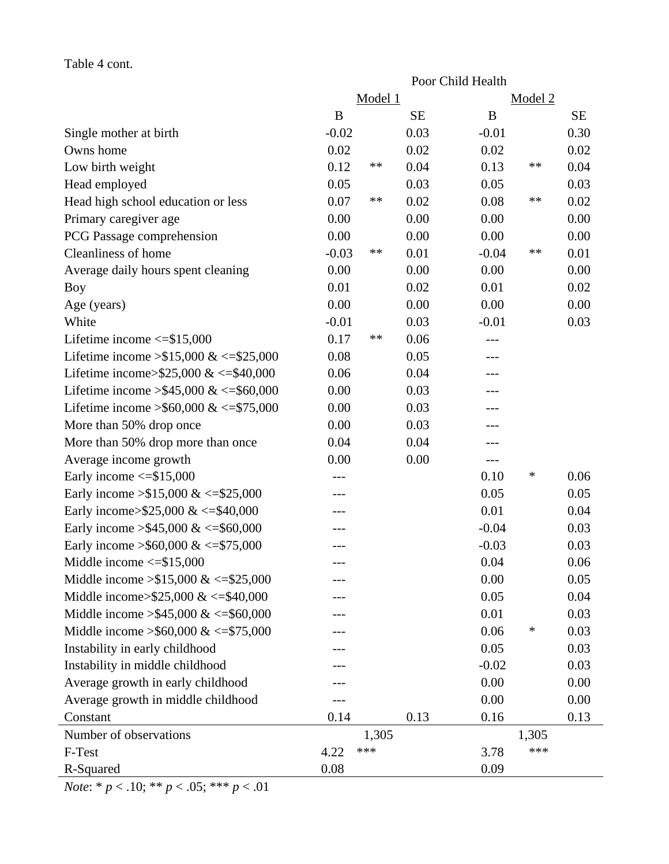### Table 4 cont.

|                                            | Poor Child Health |         |           |         |         |           |  |
|--------------------------------------------|-------------------|---------|-----------|---------|---------|-----------|--|
|                                            |                   | Model 1 |           |         | Model 2 |           |  |
|                                            | B                 |         | <b>SE</b> | B       |         | <b>SE</b> |  |
| Single mother at birth                     | $-0.02$           |         | 0.03      | $-0.01$ |         | 0.30      |  |
| Owns home                                  | 0.02              |         | 0.02      | 0.02    |         | 0.02      |  |
| Low birth weight                           | 0.12              | **      | 0.04      | 0.13    | **      | 0.04      |  |
| Head employed                              | 0.05              |         | 0.03      | 0.05    |         | 0.03      |  |
| Head high school education or less         | 0.07              | **      | 0.02      | 0.08    | **      | 0.02      |  |
| Primary caregiver age                      | 0.00              |         | 0.00      | 0.00    |         | 0.00      |  |
| PCG Passage comprehension                  | 0.00              |         | 0.00      | 0.00    |         | 0.00      |  |
| Cleanliness of home                        | $-0.03$           | **      | 0.01      | $-0.04$ | **      | 0.01      |  |
| Average daily hours spent cleaning         | 0.00              |         | 0.00      | 0.00    |         | 0.00      |  |
| <b>Boy</b>                                 | 0.01              |         | 0.02      | 0.01    |         | 0.02      |  |
| Age (years)                                | 0.00              |         | 0.00      | 0.00    |         | 0.00      |  |
| White                                      | $-0.01$           |         | 0.03      | $-0.01$ |         | 0.03      |  |
| Lifetime income $\le$ \$15,000             | 0.17              | **      | 0.06      | ---     |         |           |  |
| Lifetime income $> $15,000 \<= $25,000$    | 0.08              |         | 0.05      | ---     |         |           |  |
| Lifetime income>\$25,000 & <= \$40,000     | 0.06              |         | 0.04      | ---     |         |           |  |
| Lifetime income > \$45,000 & <= \$60,000   | 0.00              |         | 0.03      | ---     |         |           |  |
| Lifetime income > \$60,000 & <= \$75,000   | 0.00              |         | 0.03      | ---     |         |           |  |
| More than 50% drop once                    | 0.00              |         | 0.03      | ---     |         |           |  |
| More than 50% drop more than once          | 0.04              |         | 0.04      |         |         |           |  |
| Average income growth                      | 0.00              |         | 0.00      | ---     |         |           |  |
| Early income $\le$ \$15,000                |                   |         |           | 0.10    | ∗       | 0.06      |  |
| Early income $> $15,000 \<= $25,000$       | ---               |         |           | 0.05    |         | 0.05      |  |
| Early income>\$25,000 & <=\$40,000         |                   |         |           | 0.01    |         | 0.04      |  |
| Early income > \$45,000 & <= \$60,000      |                   |         |           | $-0.04$ |         | 0.03      |  |
| Early income > \$60,000 & <= \$75,000      | ---               |         |           | $-0.03$ |         | 0.03      |  |
| Middle income $\le$ \$15,000               |                   |         |           | 0.04    |         | 0.06      |  |
| Middle income $> $15,000 \<= $25,000$      |                   |         |           | 0.00    |         | 0.05      |  |
| Middle income> $$25,000 \<= $40,000$       |                   |         |           | 0.05    |         | 0.04      |  |
| Middle income $> $45,000 \<= $60,000$      |                   |         |           | 0.01    |         | 0.03      |  |
| Middle income $\geq$ \$60,000 & <=\$75,000 |                   |         |           | 0.06    | $\ast$  | 0.03      |  |
| Instability in early childhood             |                   |         |           | 0.05    |         | 0.03      |  |
| Instability in middle childhood            |                   |         |           | $-0.02$ |         | 0.03      |  |
| Average growth in early childhood          |                   |         |           | 0.00    |         | 0.00      |  |
| Average growth in middle childhood         |                   |         |           | 0.00    |         | 0.00      |  |
| Constant                                   | 0.14              |         | 0.13      | 0.16    |         | 0.13      |  |
| Number of observations                     |                   | 1,305   |           |         | 1,305   |           |  |
| F-Test                                     | 4.22              | ***     |           | 3.78    | ***     |           |  |
| R-Squared                                  | 0.08              |         |           | 0.09    |         |           |  |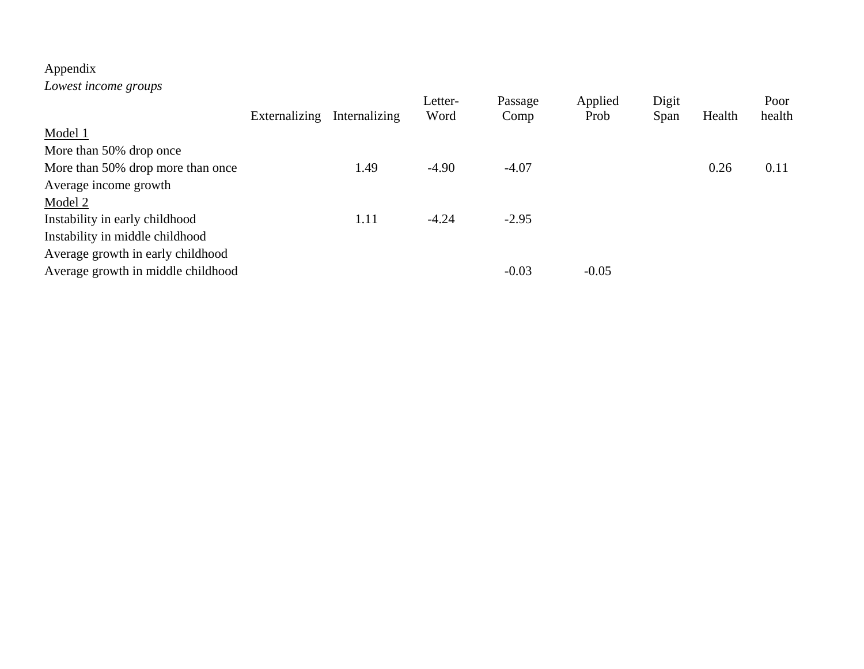# Appendix

*Lowest income groups* 

|                                    |               |               | Letter- | Passage | Applied | Digit |        | Poor   |
|------------------------------------|---------------|---------------|---------|---------|---------|-------|--------|--------|
|                                    | Externalizing | Internalizing | Word    | Comp    | Prob    | Span  | Health | health |
| Model 1                            |               |               |         |         |         |       |        |        |
| More than 50% drop once            |               |               |         |         |         |       |        |        |
| More than 50% drop more than once  |               | 1.49          | $-4.90$ | $-4.07$ |         |       | 0.26   | 0.11   |
| Average income growth              |               |               |         |         |         |       |        |        |
| Model 2                            |               |               |         |         |         |       |        |        |
| Instability in early childhood     |               | 1.11          | $-4.24$ | $-2.95$ |         |       |        |        |
| Instability in middle childhood    |               |               |         |         |         |       |        |        |
| Average growth in early childhood  |               |               |         |         |         |       |        |        |
| Average growth in middle childhood |               |               |         | $-0.03$ | $-0.05$ |       |        |        |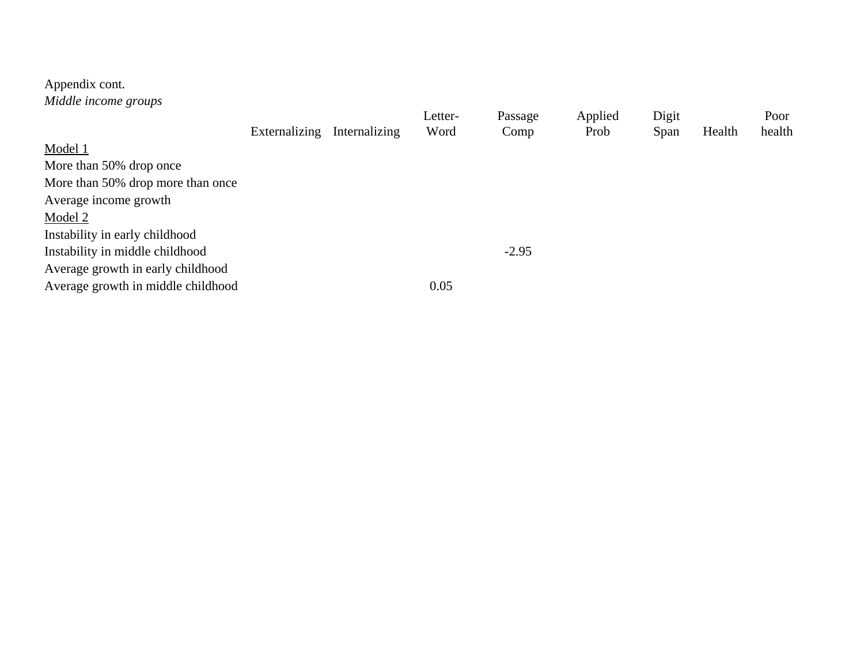# Appendix cont.

*Middle income groups* 

|                                    |               |               | Letter- | Passage | Applied | Digit |        | Poor   |
|------------------------------------|---------------|---------------|---------|---------|---------|-------|--------|--------|
|                                    | Externalizing | Internalizing | Word    | Comp    | Prob    | Span  | Health | health |
| Model 1                            |               |               |         |         |         |       |        |        |
| More than 50% drop once            |               |               |         |         |         |       |        |        |
| More than 50% drop more than once  |               |               |         |         |         |       |        |        |
| Average income growth              |               |               |         |         |         |       |        |        |
| Model 2                            |               |               |         |         |         |       |        |        |
| Instability in early childhood     |               |               |         |         |         |       |        |        |
| Instability in middle childhood    |               |               |         | $-2.95$ |         |       |        |        |
| Average growth in early childhood  |               |               |         |         |         |       |        |        |
| Average growth in middle childhood |               |               | 0.05    |         |         |       |        |        |